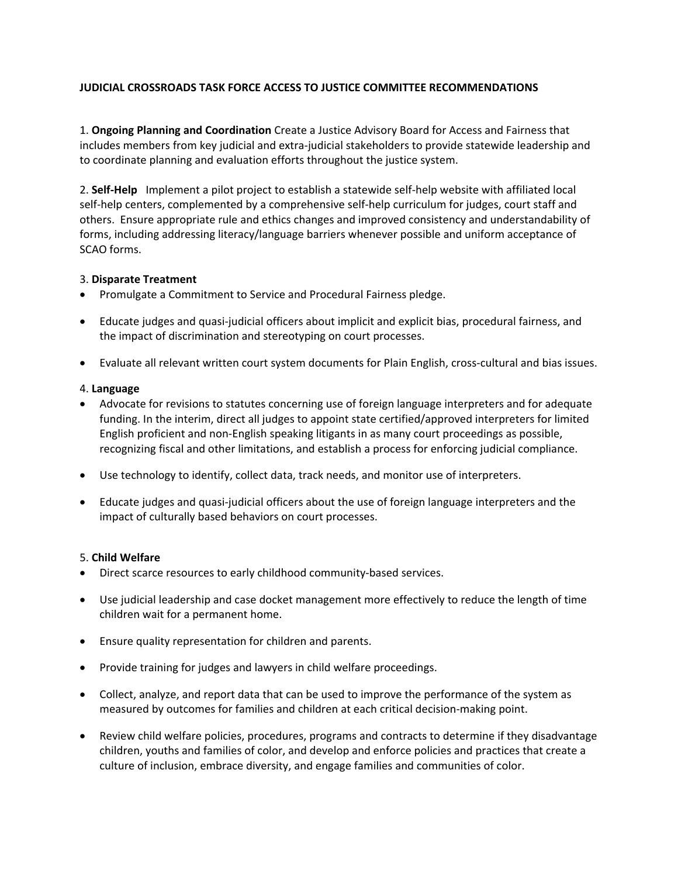# **JUDICIAL CROSSROADS TASK FORCE ACCESS TO JUSTICE COMMITTEE RECOMMENDATIONS**

1. **Ongoing Planning and Coordination** Create a Justice Advisory Board for Access and Fairness that includes members from key judicial and extra‐judicial stakeholders to provide statewide leadership and to coordinate planning and evaluation efforts throughout the justice system.

2. **Self‐Help**  Implement a pilot project to establish a statewide self‐help website with affiliated local self-help centers, complemented by a comprehensive self-help curriculum for judges, court staff and others. Ensure appropriate rule and ethics changes and improved consistency and understandability of forms, including addressing literacy/language barriers whenever possible and uniform acceptance of SCAO forms.

### 3. **Disparate Treatment**

- Promulgate a Commitment to Service and Procedural Fairness pledge.
- Educate judges and quasi‐judicial officers about implicit and explicit bias, procedural fairness, and the impact of discrimination and stereotyping on court processes.
- Evaluate all relevant written court system documents for Plain English, cross-cultural and bias issues.

### 4. **Language**

- Advocate for revisions to statutes concerning use of foreign language interpreters and for adequate funding. In the interim, direct all judges to appoint state certified/approved interpreters for limited English proficient and non‐English speaking litigants in as many court proceedings as possible, recognizing fiscal and other limitations, and establish a process for enforcing judicial compliance.
- Use technology to identify, collect data, track needs, and monitor use of interpreters.
- Educate judges and quasi-judicial officers about the use of foreign language interpreters and the impact of culturally based behaviors on court processes.

### 5. **Child Welfare**

- Direct scarce resources to early childhood community-based services.
- Use judicial leadership and case docket management more effectively to reduce the length of time children wait for a permanent home.
- Ensure quality representation for children and parents.
- Provide training for judges and lawyers in child welfare proceedings.
- Collect, analyze, and report data that can be used to improve the performance of the system as measured by outcomes for families and children at each critical decision-making point.
- Review child welfare policies, procedures, programs and contracts to determine if they disadvantage children, youths and families of color, and develop and enforce policies and practices that create a culture of inclusion, embrace diversity, and engage families and communities of color.